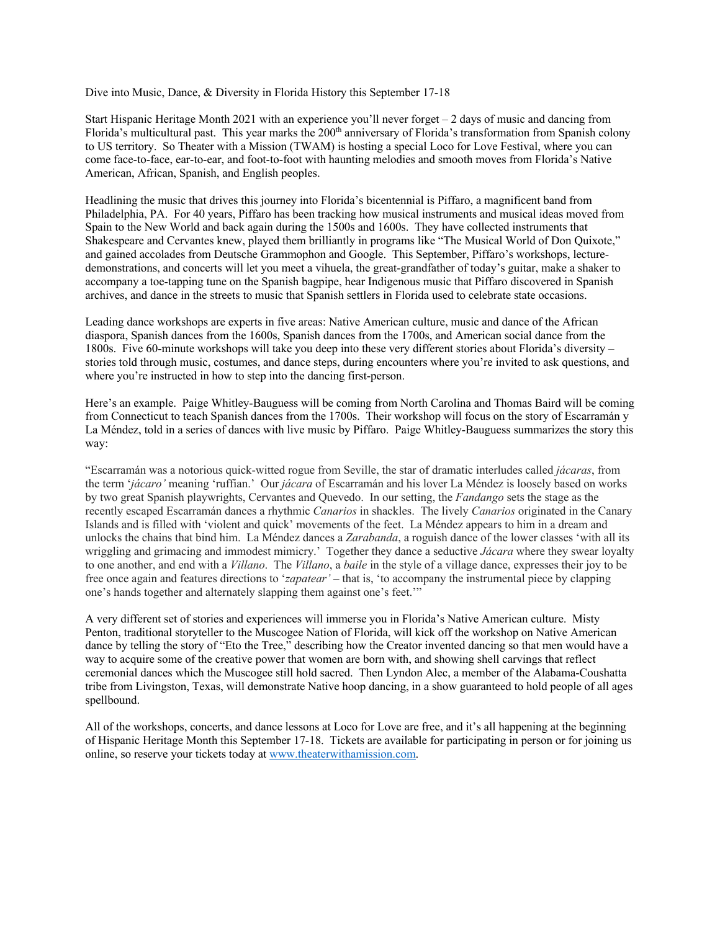Dive into Music, Dance, & Diversity in Florida History this September 17-18

Start Hispanic Heritage Month 2021 with an experience you'll never forget  $-2$  days of music and dancing from Florida's multicultural past. This year marks the 200<sup>th</sup> anniversary of Florida's transformation from Spanish colony to US territory. So Theater with a Mission (TWAM) is hosting a special Loco for Love Festival, where you can come face-to-face, ear-to-ear, and foot-to-foot with haunting melodies and smooth moves from Florida's Native American, African, Spanish, and English peoples.

Headlining the music that drives this journey into Florida's bicentennial is Piffaro, a magnificent band from Philadelphia, PA. For 40 years, Piffaro has been tracking how musical instruments and musical ideas moved from Spain to the New World and back again during the 1500s and 1600s. They have collected instruments that Shakespeare and Cervantes knew, played them brilliantly in programs like "The Musical World of Don Quixote," and gained accolades from Deutsche Grammophon and Google. This September, Piffaro's workshops, lecturedemonstrations, and concerts will let you meet a vihuela, the great-grandfather of today's guitar, make a shaker to accompany a toe-tapping tune on the Spanish bagpipe, hear Indigenous music that Piffaro discovered in Spanish archives, and dance in the streets to music that Spanish settlers in Florida used to celebrate state occasions.

Leading dance workshops are experts in five areas: Native American culture, music and dance of the African diaspora, Spanish dances from the 1600s, Spanish dances from the 1700s, and American social dance from the 1800s. Five 60-minute workshops will take you deep into these very different stories about Florida's diversity – stories told through music, costumes, and dance steps, during encounters where you're invited to ask questions, and where you're instructed in how to step into the dancing first-person.

Here's an example. Paige Whitley-Bauguess will be coming from North Carolina and Thomas Baird will be coming from Connecticut to teach Spanish dances from the 1700s. Their workshop will focus on the story of Escarramán y La Méndez, told in a series of dances with live music by Piffaro. Paige Whitley-Bauguess summarizes the story this way:

"Escarramán was a notorious quick-witted rogue from Seville, the star of dramatic interludes called *jácaras*, from the term '*jácaro'* meaning 'ruffian.' Our *jácara* of Escarramán and his lover La Méndez is loosely based on works by two great Spanish playwrights, Cervantes and Quevedo. In our setting, the *Fandango* sets the stage as the recently escaped Escarramán dances a rhythmic *Canarios* in shackles. The lively *Canarios* originated in the Canary Islands and is filled with 'violent and quick' movements of the feet. La Méndez appears to him in a dream and unlocks the chains that bind him. La Méndez dances a *Zarabanda*, a roguish dance of the lower classes 'with all its wriggling and grimacing and immodest mimicry.' Together they dance a seductive *Jácara* where they swear loyalty to one another, and end with a *Villano*. The *Villano*, a *baile* in the style of a village dance, expresses their joy to be free once again and features directions to '*zapatear'* – that is, 'to accompany the instrumental piece by clapping one's hands together and alternately slapping them against one's feet.'"

A very different set of stories and experiences will immerse you in Florida's Native American culture. Misty Penton, traditional storyteller to the Muscogee Nation of Florida, will kick off the workshop on Native American dance by telling the story of "Eto the Tree," describing how the Creator invented dancing so that men would have a way to acquire some of the creative power that women are born with, and showing shell carvings that reflect ceremonial dances which the Muscogee still hold sacred. Then Lyndon Alec, a member of the Alabama-Coushatta tribe from Livingston, Texas, will demonstrate Native hoop dancing, in a show guaranteed to hold people of all ages spellbound.

All of the workshops, concerts, and dance lessons at Loco for Love are free, and it's all happening at the beginning of Hispanic Heritage Month this September 17-18. Tickets are available for participating in person or for joining us online, so reserve your tickets today at www.theaterwithamission.com.